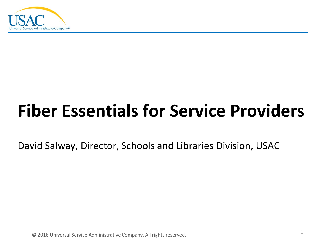

### **Fiber Essentials for Service Providers**

David Salway, Director, Schools and Libraries Division, USAC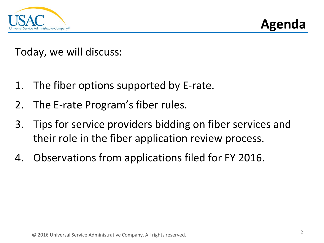

**Agenda**

Today, we will discuss:

- 1. The fiber options supported by E-rate.
- 2. The E-rate Program's fiber rules.
- 3. Tips for service providers bidding on fiber services and their role in the fiber application review process.
- 4. Observations from applications filed for FY 2016.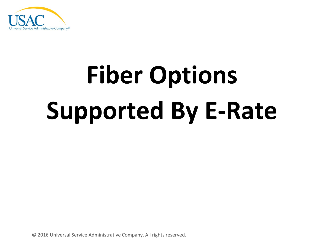

# **Fiber Options Supported By E-Rate**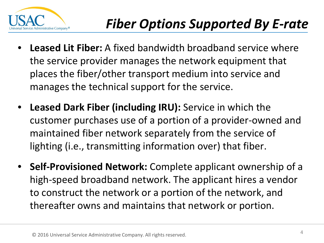

- **Leased Lit Fiber:** A fixed bandwidth broadband service where the service provider manages the network equipment that places the fiber/other transport medium into service and manages the technical support for the service.
- **Leased Dark Fiber (including IRU):** Service in which the customer purchases use of a portion of a provider-owned and maintained fiber network separately from the service of lighting (i.e., transmitting information over) that fiber.
- **Self-Provisioned Network:** Complete applicant ownership of a high-speed broadband network. The applicant hires a vendor to construct the network or a portion of the network, and thereafter owns and maintains that network or portion.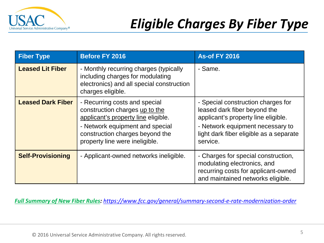

| <b>Fiber Type</b>        | <b>Before FY 2016</b>                                                                                                                                                                                          | <b>As-of FY 2016</b>                                                                                                                                                                                 |
|--------------------------|----------------------------------------------------------------------------------------------------------------------------------------------------------------------------------------------------------------|------------------------------------------------------------------------------------------------------------------------------------------------------------------------------------------------------|
| <b>Leased Lit Fiber</b>  | - Monthly recurring charges (typically<br>including charges for modulating<br>electronics) and all special construction<br>charges eligible.                                                                   | - Same.                                                                                                                                                                                              |
| <b>Leased Dark Fiber</b> | - Recurring costs and special<br>construction charges up to the<br>applicant's property line eligible.<br>- Network equipment and special<br>construction charges beyond the<br>property line were ineligible. | - Special construction charges for<br>leased dark fiber beyond the<br>applicant's property line eligible.<br>- Network equipment necessary to<br>light dark fiber eligible as a separate<br>service. |
| <b>Self-Provisioning</b> | - Applicant-owned networks ineligible.                                                                                                                                                                         | - Charges for special construction,<br>modulating electronics, and<br>recurring costs for applicant-owned<br>and maintained networks eligible.                                                       |

*Full Summary of New Fiber Rules: <https://www.fcc.gov/general/summary-second-e-rate-modernization-order>*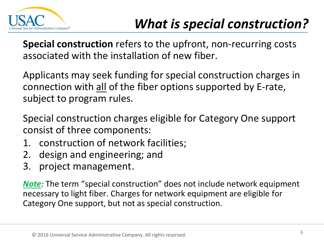

**Special construction** refers to the upfront, non-recurring costs associated with the installation of new fiber.

Applicants may seek funding for special construction charges in connection with all of the fiber options supported by E-rate, subject to program rules.

Special construction charges eligible for Category One support consist of three components:

- 1. construction of network facilities;
- 2. design and engineering; and
- 3. project management.

*Note:* The term "special construction" does not include network equipment necessary to light fiber. Charges for network equipment are eligible for Category One support, but not as special construction.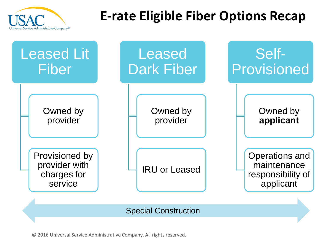

#### **E-rate Eligible Fiber Options Recap**

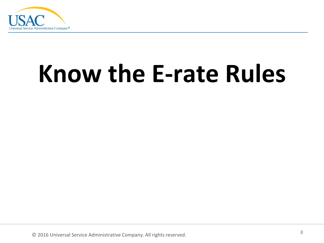

## **Know the E-rate Rules**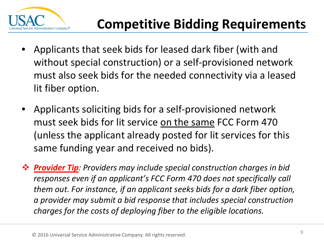

- Applicants that seek bids for leased dark fiber (with and without special construction) or a self-provisioned network must also seek bids for the needed connectivity via a leased lit fiber option.
- Applicants soliciting bids for a self-provisioned network must seek bids for lit service on the same FCC Form 470 (unless the applicant already posted for lit services for this same funding year and received no bids).
- *Provider Tip: Providers may include special construction charges in bid responses even if an applicant's FCC Form 470 does not specifically call them out. For instance, if an applicant seeks bids for a dark fiber option, a provider may submit a bid response that includes special construction charges for the costs of deploying fiber to the eligible locations.*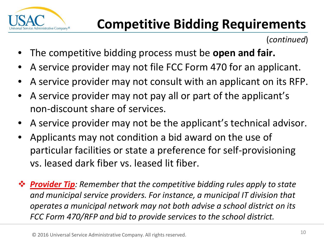

(*continued*)

- The competitive bidding process must be **open and fair.**
- A service provider may not file FCC Form 470 for an applicant.
- A service provider may not consult with an applicant on its RFP.
- A service provider may not pay all or part of the applicant's non-discount share of services.
- A service provider may not be the applicant's technical advisor.
- Applicants may not condition a bid award on the use of particular facilities or state a preference for self-provisioning vs. leased dark fiber vs. leased lit fiber.
- *Provider Tip: Remember that the competitive bidding rules apply to state and municipal service providers. For instance, a municipal IT division that operates a municipal network may not both advise a school district on its FCC Form 470/RFP and bid to provide services to the school district.*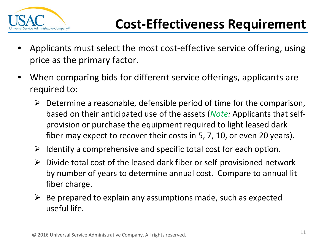

- Applicants must select the most cost-effective service offering, using price as the primary factor.
- When comparing bids for different service offerings, applicants are required to:
	- $\triangleright$  Determine a reasonable, defensible period of time for the comparison, based on their anticipated use of the assets (*Note:* Applicants that selfprovision or purchase the equipment required to light leased dark fiber may expect to recover their costs in 5, 7, 10, or even 20 years).
	- $\triangleright$  Identify a comprehensive and specific total cost for each option.
	- $\triangleright$  Divide total cost of the leased dark fiber or self-provisioned network by number of years to determine annual cost. Compare to annual lit fiber charge.
	- $\triangleright$  Be prepared to explain any assumptions made, such as expected useful life.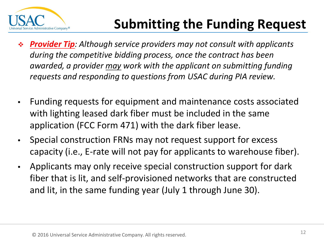

#### **Submitting the Funding Request**

- *Provider Tip: Although service providers may not consult with applicants during the competitive bidding process, once the contract has been awarded, a provider may work with the applicant on submitting funding requests and responding to questions from USAC during PIA review.*
- Funding requests for equipment and maintenance costs associated with lighting leased dark fiber must be included in the same application (FCC Form 471) with the dark fiber lease.
- Special construction FRNs may not request support for excess capacity (i.e., E-rate will not pay for applicants to warehouse fiber).
- Applicants may only receive special construction support for dark fiber that is lit, and self-provisioned networks that are constructed and lit, in the same funding year (July 1 through June 30).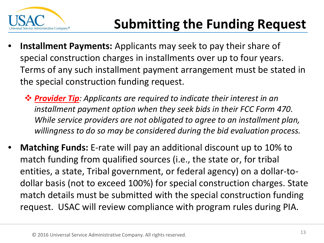

- **Installment Payments:** Applicants may seek to pay their share of special construction charges in installments over up to four years. Terms of any such installment payment arrangement must be stated in the special construction funding request.
	- *Provider Tip: Applicants are required to indicate their interest in an installment payment option when they seek bids in their FCC Form 470. While service providers are not obligated to agree to an installment plan, willingness to do so may be considered during the bid evaluation process.*
- **Matching Funds:** E-rate will pay an additional discount up to 10% to match funding from qualified sources (i.e., the state or, for tribal entities, a state, Tribal government, or federal agency) on a dollar-todollar basis (not to exceed 100%) for special construction charges. State match details must be submitted with the special construction funding request. USAC will review compliance with program rules during PIA.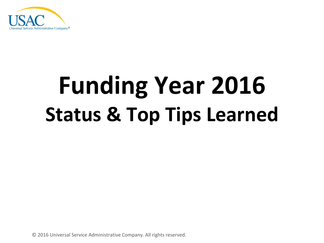

## **Funding Year 2016 Status & Top Tips Learned**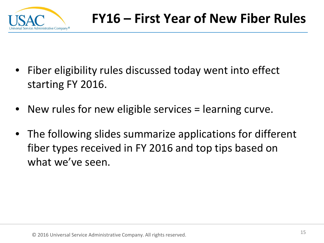

- Fiber eligibility rules discussed today went into effect starting FY 2016.
- New rules for new eligible services = learning curve.
- The following slides summarize applications for different fiber types received in FY 2016 and top tips based on what we've seen.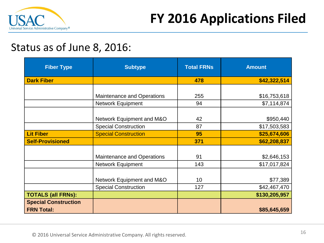

#### Status as of June 8, 2016:

| <b>Fiber Type</b>           | <b>Subtype</b>                    | <b>Total FRNs</b> | <b>Amount</b> |
|-----------------------------|-----------------------------------|-------------------|---------------|
| <b>Dark Fiber</b>           |                                   | 478               | \$42,322,514  |
|                             |                                   |                   |               |
|                             | <b>Maintenance and Operations</b> | 255               | \$16,753,618  |
|                             | <b>Network Equipment</b>          | 94                | \$7,114,874   |
|                             |                                   |                   |               |
|                             | Network Equipment and M&O         | 42                | \$950,440     |
|                             | <b>Special Construction</b>       | 87                | \$17,503,583  |
| <b>Lit Fiber</b>            | <b>Special Construction</b>       | 95                | \$25,674,606  |
| <b>Self-Provisioned</b>     |                                   | 371               | \$62,208,837  |
|                             |                                   |                   |               |
|                             | <b>Maintenance and Operations</b> | 91                | \$2,646,153   |
|                             | <b>Network Equipment</b>          | 143               | \$17,017,824  |
|                             |                                   |                   |               |
|                             | Network Equipment and M&O         | 10                | \$77,389      |
|                             | <b>Special Construction</b>       | 127               | \$42,467,470  |
| <b>TOTALS (all FRNs):</b>   |                                   |                   | \$130,205,957 |
| <b>Special Construction</b> |                                   |                   |               |
| <b>FRN Total:</b>           |                                   |                   | \$85,645,659  |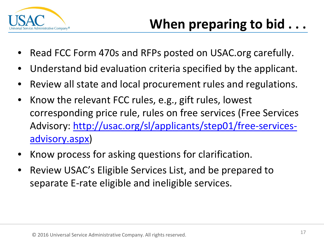

- Read FCC Form 470s and RFPs posted on USAC.org carefully.
- Understand bid evaluation criteria specified by the applicant.
- Review all state and local procurement rules and regulations.
- Know the relevant FCC rules, e.g., gift rules, lowest corresponding price rule, rules on free services (Free Services [Advisory: http://usac.org/sl/applicants/step01/free-services](http://usac.org/sl/applicants/step01/free-services-advisory.aspx)advisory.aspx)
- Know process for asking questions for clarification.
- Review USAC's Eligible Services List, and be prepared to separate E-rate eligible and ineligible services.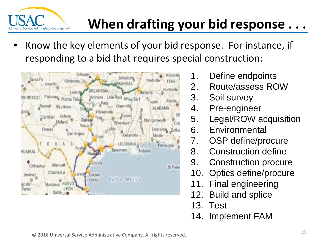

#### **When drafting your bid response . . .**

• Know the key elements of your bid response. For instance, if responding to a bid that requires special construction:



- 1. Define endpoints
- 2. Route/assess ROW
- 3. Soil survey
- 4. Pre-engineer
- 5. Legal/ROW acquisition
- 6. Environmental
- 7. OSP define/procure
- 8. Construction define
- 9. Construction procure
- 10. Optics define/procure
- 11. Final engineering
- 12. Build and splice
- 13. Test
- 14. Implement FAM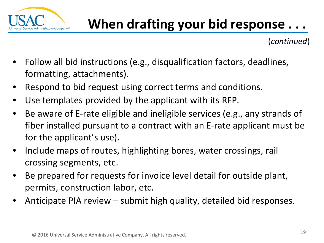

(*continued*)

- Follow all bid instructions (e.g., disqualification factors, deadlines, formatting, attachments).
- Respond to bid request using correct terms and conditions.
- Use templates provided by the applicant with its RFP.
- Be aware of E-rate eligible and ineligible services (e.g., any strands of fiber installed pursuant to a contract with an E-rate applicant must be for the applicant's use).
- Include maps of routes, highlighting bores, water crossings, rail crossing segments, etc.
- Be prepared for requests for invoice level detail for outside plant, permits, construction labor, etc.
- Anticipate PIA review submit high quality, detailed bid responses.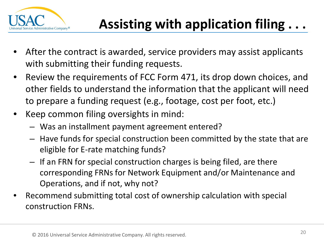

- After the contract is awarded, service providers may assist applicants with submitting their funding requests.
- Review the requirements of FCC Form 471, its drop down choices, and other fields to understand the information that the applicant will need to prepare a funding request (e.g., footage, cost per foot, etc.)
- Keep common filing oversights in mind:
	- Was an installment payment agreement entered?
	- Have funds for special construction been committed by the state that are eligible for E-rate matching funds?
	- If an FRN for special construction charges is being filed, are there corresponding FRNs for Network Equipment and/or Maintenance and Operations, and if not, why not?
- Recommend submitting total cost of ownership calculation with special construction FRNs.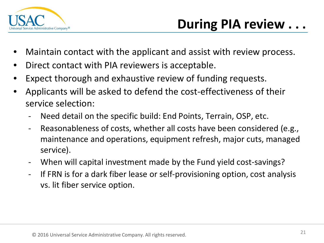

- Maintain contact with the applicant and assist with review process.
- Direct contact with PIA reviewers is acceptable.
- Expect thorough and exhaustive review of funding requests.
- Applicants will be asked to defend the cost-effectiveness of their service selection:
	- Need detail on the specific build: End Points, Terrain, OSP, etc.
	- Reasonableness of costs, whether all costs have been considered (e.g., maintenance and operations, equipment refresh, major cuts, managed service).
	- When will capital investment made by the Fund yield cost-savings?
	- If FRN is for a dark fiber lease or self-provisioning option, cost analysis vs. lit fiber service option.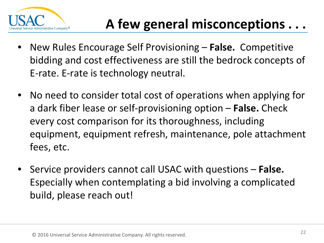

- New Rules Encourage Self Provisioning **False.** Competitive bidding and cost effectiveness are still the bedrock concepts of E-rate. E-rate is technology neutral.
- No need to consider total cost of operations when applying for a dark fiber lease or self-provisioning option – **False.** Check every cost comparison for its thoroughness, including equipment, equipment refresh, maintenance, pole attachment fees, etc.
- Service providers cannot call USAC with questions **False.**  Especially when contemplating a bid involving a complicated build, please reach out!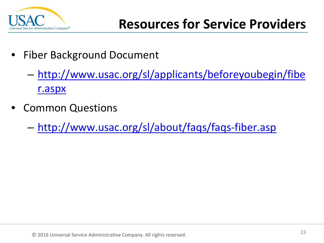

- Fiber Background Document
	- [http://www.usac.org/sl/applicants/beforeyoubegin/fibe](http://www.usac.org/sl/applicants/beforeyoubegin/fiber.aspx) r.aspx
- Common Questions
	- [http://www.usac.org/sl/about/faqs/faqs-fiber.asp](http://www.usac.org/sl/about/faqs/faqs-fiber.aspx)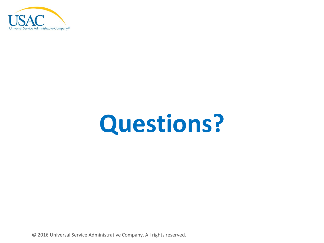

## **Questions?**